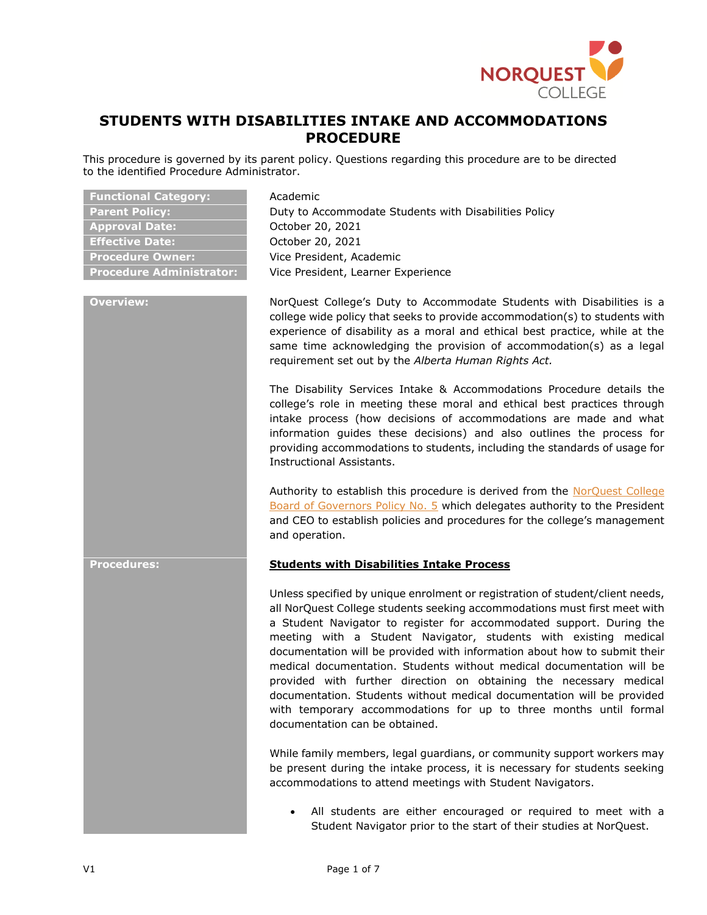

# **STUDENTS WITH DISABILITIES INTAKE AND ACCOMMODATIONS PROCEDURE**

This procedure is governed by its parent policy. Questions regarding this procedure are to be directed to the identified Procedure Administrator.

| <b>Functional Category:</b><br><b>Parent Policy:</b><br><b>Approval Date:</b><br><b>Effective Date:</b><br><b>Procedure Owner:</b><br><b>Procedure Administrator:</b> | Academic<br>Duty to Accommodate Students with Disabilities Policy<br>October 20, 2021<br>October 20, 2021<br>Vice President, Academic<br>Vice President, Learner Experience                                                                                                                                                                                                                                                                                                                                                                                                                                                                                                                                         |
|-----------------------------------------------------------------------------------------------------------------------------------------------------------------------|---------------------------------------------------------------------------------------------------------------------------------------------------------------------------------------------------------------------------------------------------------------------------------------------------------------------------------------------------------------------------------------------------------------------------------------------------------------------------------------------------------------------------------------------------------------------------------------------------------------------------------------------------------------------------------------------------------------------|
| <b>Overview:</b>                                                                                                                                                      | NorQuest College's Duty to Accommodate Students with Disabilities is a<br>college wide policy that seeks to provide accommodation(s) to students with<br>experience of disability as a moral and ethical best practice, while at the<br>same time acknowledging the provision of accommodation(s) as a legal<br>requirement set out by the Alberta Human Rights Act.                                                                                                                                                                                                                                                                                                                                                |
|                                                                                                                                                                       | The Disability Services Intake & Accommodations Procedure details the<br>college's role in meeting these moral and ethical best practices through<br>intake process (how decisions of accommodations are made and what<br>information guides these decisions) and also outlines the process for<br>providing accommodations to students, including the standards of usage for<br><b>Instructional Assistants.</b>                                                                                                                                                                                                                                                                                                   |
|                                                                                                                                                                       | Authority to establish this procedure is derived from the NorQuest College<br>Board of Governors Policy No. 5 which delegates authority to the President<br>and CEO to establish policies and procedures for the college's management<br>and operation.                                                                                                                                                                                                                                                                                                                                                                                                                                                             |
| <b>Procedures:</b>                                                                                                                                                    | <b>Students with Disabilities Intake Process</b>                                                                                                                                                                                                                                                                                                                                                                                                                                                                                                                                                                                                                                                                    |
|                                                                                                                                                                       | Unless specified by unique enrolment or registration of student/client needs,<br>all NorQuest College students seeking accommodations must first meet with<br>a Student Navigator to register for accommodated support. During the<br>meeting with a Student Navigator, students with existing medical<br>documentation will be provided with information about how to submit their<br>medical documentation. Students without medical documentation will be<br>provided with further direction on obtaining the necessary medical<br>documentation. Students without medical documentation will be provided<br>with temporary accommodations for up to three months until formal<br>documentation can be obtained. |
|                                                                                                                                                                       | While family members, legal guardians, or community support workers may<br>be present during the intake process, it is necessary for students seeking<br>accommodations to attend meetings with Student Navigators.                                                                                                                                                                                                                                                                                                                                                                                                                                                                                                 |
|                                                                                                                                                                       | All students are either encouraged or required to meet with a                                                                                                                                                                                                                                                                                                                                                                                                                                                                                                                                                                                                                                                       |

Student Navigator prior to the start of their studies at NorQuest.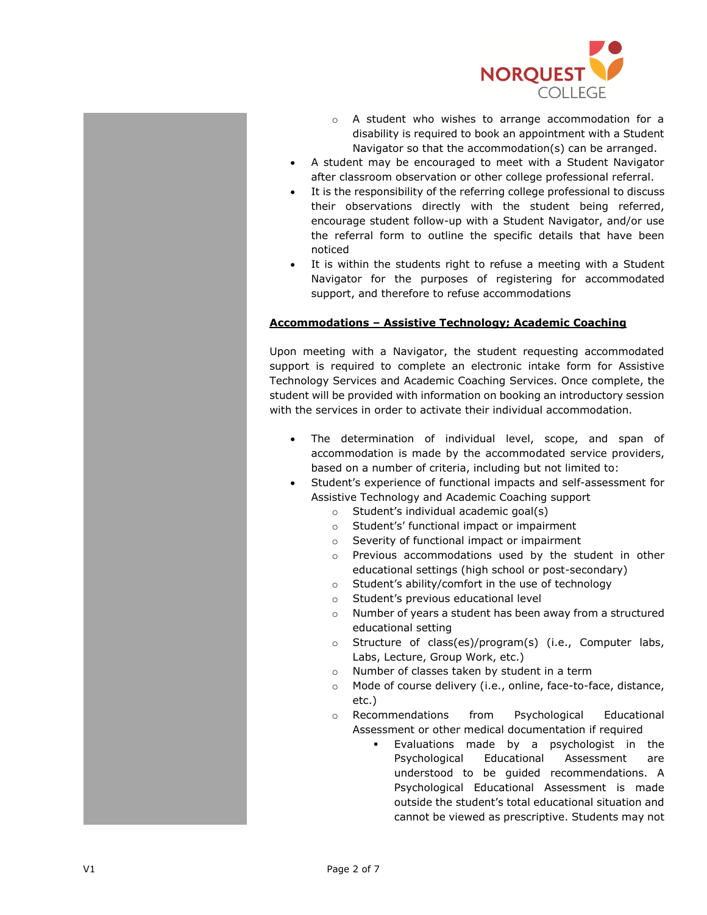

- o A student who wishes to arrange accommodation for a disability is required to book an appointment with a Student Navigator so that the accommodation(s) can be arranged.
- A student may be encouraged to meet with a Student Navigator after classroom observation or other college professional referral.
- It is the responsibility of the referring college professional to discuss their observations directly with the student being referred, encourage student follow-up with a Student Navigator, and/or use the referral form to outline the specific details that have been noticed
- It is within the students right to refuse a meeting with a Student Navigator for the purposes of registering for accommodated support, and therefore to refuse accommodations

### **Accommodations – Assistive Technology; Academic Coaching**

Upon meeting with a Navigator, the student requesting accommodated support is required to complete an electronic intake form for Assistive Technology Services and Academic Coaching Services. Once complete, the student will be provided with information on booking an introductory session with the services in order to activate their individual accommodation.

- The determination of individual level, scope, and span of accommodation is made by the accommodated service providers, based on a number of criteria, including but not limited to:
- Student's experience of functional impacts and self-assessment for Assistive Technology and Academic Coaching support
	- o Student's individual academic goal(s)
	- o Student's' functional impact or impairment
	- o Severity of functional impact or impairment
	- o Previous accommodations used by the student in other educational settings (high school or post-secondary)
	- o Student's ability/comfort in the use of technology
	- o Student's previous educational level
	- o Number of years a student has been away from a structured educational setting
	- o Structure of class(es)/program(s) (i.e., Computer labs, Labs, Lecture, Group Work, etc.)
	- o Number of classes taken by student in a term
	- o Mode of course delivery (i.e., online, face-to-face, distance, etc.)
	- o Recommendations from Psychological Educational Assessment or other medical documentation if required
		- Evaluations made by a psychologist in the Psychological Educational Assessment are understood to be guided recommendations. A Psychological Educational Assessment is made outside the student's total educational situation and cannot be viewed as prescriptive. Students may not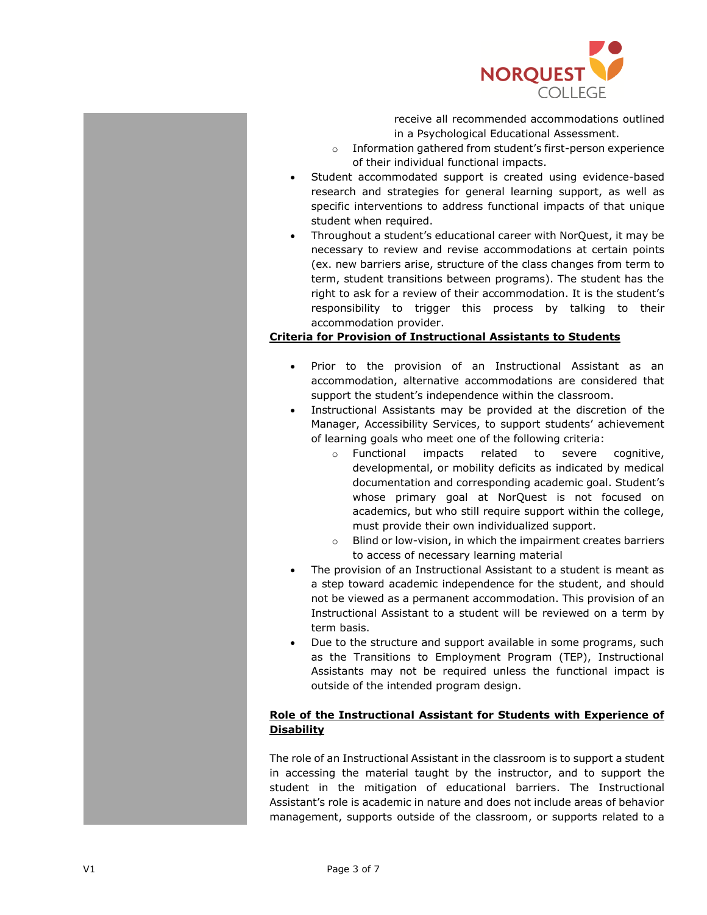

receive all recommended accommodations outlined in a Psychological Educational Assessment.

- o Information gathered from student's first-person experience of their individual functional impacts.
- Student accommodated support is created using evidence-based research and strategies for general learning support, as well as specific interventions to address functional impacts of that unique student when required.
- Throughout a student's educational career with NorQuest, it may be necessary to review and revise accommodations at certain points (ex. new barriers arise, structure of the class changes from term to term, student transitions between programs). The student has the right to ask for a review of their accommodation. It is the student's responsibility to trigger this process by talking to their accommodation provider.

### **Criteria for Provision of Instructional Assistants to Students**

- Prior to the provision of an Instructional Assistant as an accommodation, alternative accommodations are considered that support the student's independence within the classroom.
- Instructional Assistants may be provided at the discretion of the Manager, Accessibility Services, to support students' achievement of learning goals who meet one of the following criteria:
	- o Functional impacts related to severe cognitive, developmental, or mobility deficits as indicated by medical documentation and corresponding academic goal. Student's whose primary goal at NorQuest is not focused on academics, but who still require support within the college, must provide their own individualized support.
	- o Blind or low-vision, in which the impairment creates barriers to access of necessary learning material
- The provision of an Instructional Assistant to a student is meant as a step toward academic independence for the student, and should not be viewed as a permanent accommodation. This provision of an Instructional Assistant to a student will be reviewed on a term by term basis.
- Due to the structure and support available in some programs, such as the Transitions to Employment Program (TEP), Instructional Assistants may not be required unless the functional impact is outside of the intended program design.

# **Role of the Instructional Assistant for Students with Experience of Disability**

The role of an Instructional Assistant in the classroom is to support a student in accessing the material taught by the instructor, and to support the student in the mitigation of educational barriers. The Instructional Assistant's role is academic in nature and does not include areas of behavior management, supports outside of the classroom, or supports related to a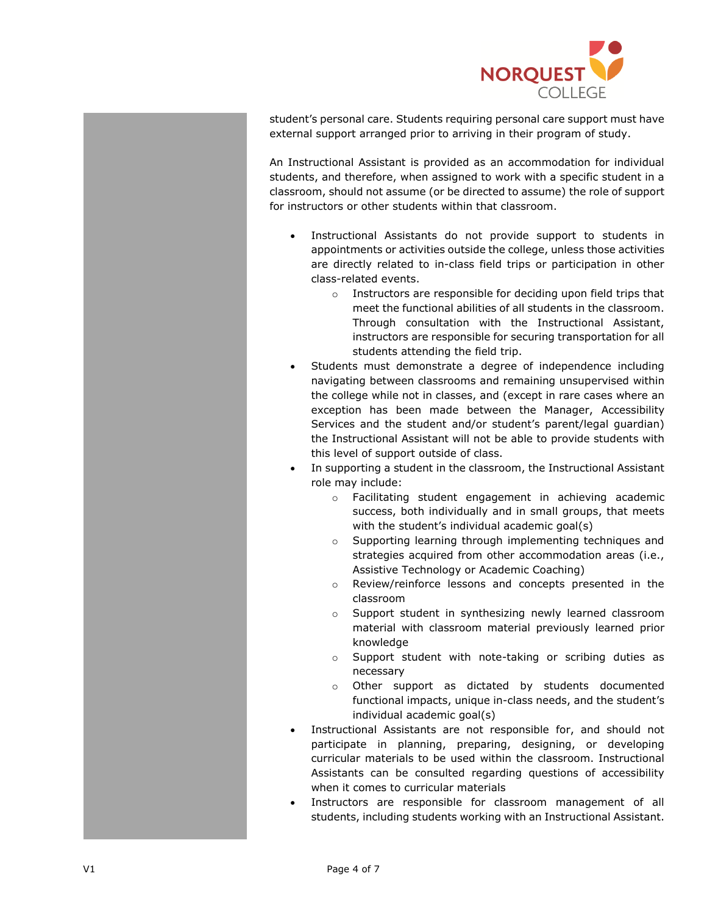

student's personal care. Students requiring personal care support must have external support arranged prior to arriving in their program of study.

An Instructional Assistant is provided as an accommodation for individual students, and therefore, when assigned to work with a specific student in a classroom, should not assume (or be directed to assume) the role of support for instructors or other students within that classroom.

- Instructional Assistants do not provide support to students in appointments or activities outside the college, unless those activities are directly related to in-class field trips or participation in other class-related events.
	- o Instructors are responsible for deciding upon field trips that meet the functional abilities of all students in the classroom. Through consultation with the Instructional Assistant, instructors are responsible for securing transportation for all students attending the field trip.
- Students must demonstrate a degree of independence including navigating between classrooms and remaining unsupervised within the college while not in classes, and (except in rare cases where an exception has been made between the Manager, Accessibility Services and the student and/or student's parent/legal guardian) the Instructional Assistant will not be able to provide students with this level of support outside of class.
- In supporting a student in the classroom, the Instructional Assistant role may include:
	- o Facilitating student engagement in achieving academic success, both individually and in small groups, that meets with the student's individual academic goal(s)
	- o Supporting learning through implementing techniques and strategies acquired from other accommodation areas (i.e., Assistive Technology or Academic Coaching)
	- o Review/reinforce lessons and concepts presented in the classroom
	- o Support student in synthesizing newly learned classroom material with classroom material previously learned prior knowledge
	- o Support student with note-taking or scribing duties as necessary
	- o Other support as dictated by students documented functional impacts, unique in-class needs, and the student's individual academic goal(s)
- Instructional Assistants are not responsible for, and should not participate in planning, preparing, designing, or developing curricular materials to be used within the classroom. Instructional Assistants can be consulted regarding questions of accessibility when it comes to curricular materials
- Instructors are responsible for classroom management of all students, including students working with an Instructional Assistant.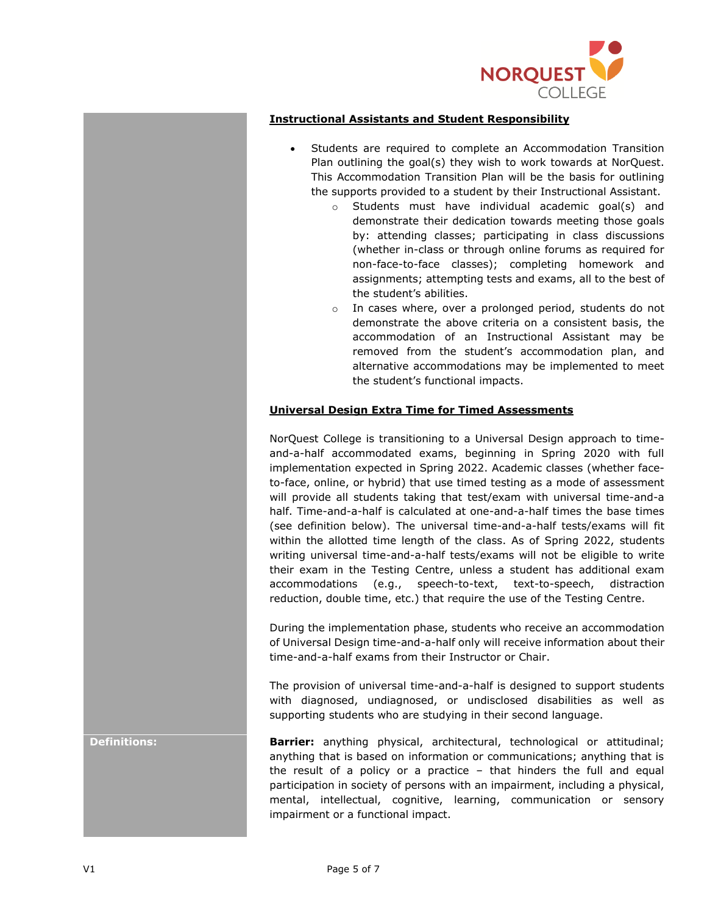

### **Instructional Assistants and Student Responsibility**

- Students are required to complete an Accommodation Transition Plan outlining the goal(s) they wish to work towards at NorQuest. This Accommodation Transition Plan will be the basis for outlining the supports provided to a student by their Instructional Assistant.
	- o Students must have individual academic goal(s) and demonstrate their dedication towards meeting those goals by: attending classes; participating in class discussions (whether in-class or through online forums as required for non-face-to-face classes); completing homework and assignments; attempting tests and exams, all to the best of the student's abilities.
	- o In cases where, over a prolonged period, students do not demonstrate the above criteria on a consistent basis, the accommodation of an Instructional Assistant may be removed from the student's accommodation plan, and alternative accommodations may be implemented to meet the student's functional impacts.

# **Universal Design Extra Time for Timed Assessments**

NorQuest College is transitioning to a Universal Design approach to timeand-a-half accommodated exams, beginning in Spring 2020 with full implementation expected in Spring 2022. Academic classes (whether faceto-face, online, or hybrid) that use timed testing as a mode of assessment will provide all students taking that test/exam with universal time-and-a half. Time-and-a-half is calculated at one-and-a-half times the base times (see definition below). The universal time-and-a-half tests/exams will fit within the allotted time length of the class. As of Spring 2022, students writing universal time-and-a-half tests/exams will not be eligible to write their exam in the Testing Centre, unless a student has additional exam accommodations (e.g., speech-to-text, text-to-speech, distraction reduction, double time, etc.) that require the use of the Testing Centre.

During the implementation phase, students who receive an accommodation of Universal Design time-and-a-half only will receive information about their time-and-a-half exams from their Instructor or Chair.

The provision of universal time-and-a-half is designed to support students with diagnosed, undiagnosed, or undisclosed disabilities as well as supporting students who are studying in their second language.

**Definitions: Barrier:** anything physical, architectural, technological or attitudinal; anything that is based on information or communications; anything that is the result of a policy or a practice – that hinders the full and equal participation in society of persons with an impairment, including a physical, mental, intellectual, cognitive, learning, communication or sensory impairment or a functional impact.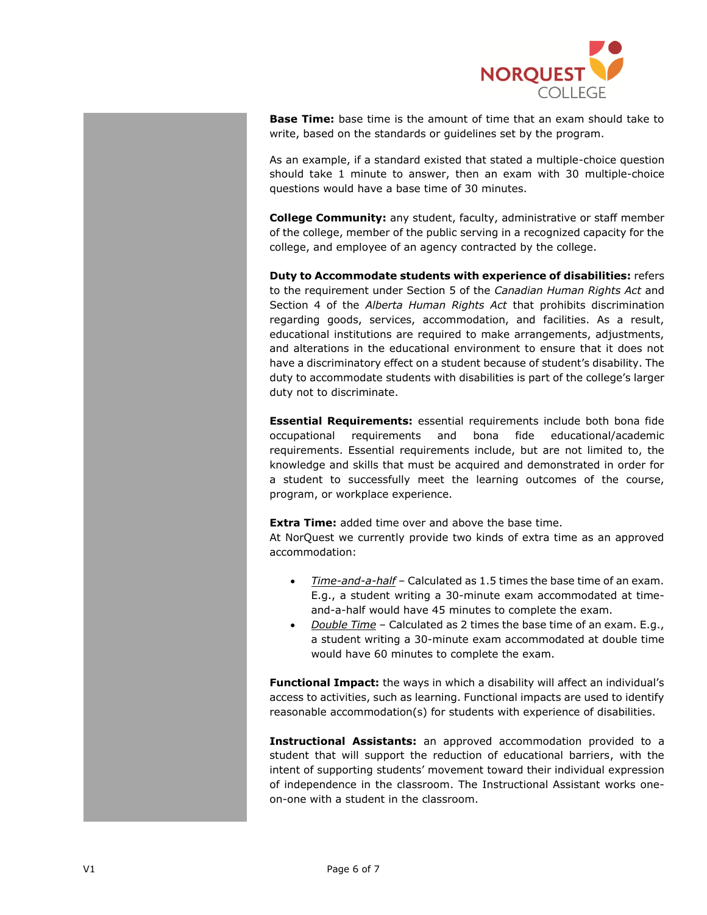

**Base Time:** base time is the amount of time that an exam should take to write, based on the standards or guidelines set by the program.

As an example, if a standard existed that stated a multiple-choice question should take 1 minute to answer, then an exam with 30 multiple-choice questions would have a base time of 30 minutes.

**College Community:** any student, faculty, administrative or staff member of the college, member of the public serving in a recognized capacity for the college, and employee of an agency contracted by the college.

**Duty to Accommodate students with experience of disabilities:** refers to the requirement under Section 5 of the *Canadian Human Rights Act* and Section 4 of the *Alberta Human Rights Act* that prohibits discrimination regarding goods, services, accommodation, and facilities. As a result, educational institutions are required to make arrangements, adjustments, and alterations in the educational environment to ensure that it does not have a discriminatory effect on a student because of student's disability. The duty to accommodate students with disabilities is part of the college's larger duty not to discriminate.

**Essential Requirements:** essential requirements include both bona fide occupational requirements and bona fide educational/academic requirements. Essential requirements include, but are not limited to, the knowledge and skills that must be acquired and demonstrated in order for a student to successfully meet the learning outcomes of the course, program, or workplace experience.

**Extra Time:** added time over and above the base time.

At NorQuest we currently provide two kinds of extra time as an approved accommodation:

- *Time-and-a-half* Calculated as 1.5 times the base time of an exam. E.g., a student writing a 30-minute exam accommodated at timeand-a-half would have 45 minutes to complete the exam.
- *Double Time* Calculated as 2 times the base time of an exam. E.g., a student writing a 30-minute exam accommodated at double time would have 60 minutes to complete the exam.

**Functional Impact:** the ways in which a disability will affect an individual's access to activities, such as learning. Functional impacts are used to identify reasonable accommodation(s) for students with experience of disabilities.

**Instructional Assistants:** an approved accommodation provided to a student that will support the reduction of educational barriers, with the intent of supporting students' movement toward their individual expression of independence in the classroom. The Instructional Assistant works oneon-one with a student in the classroom.